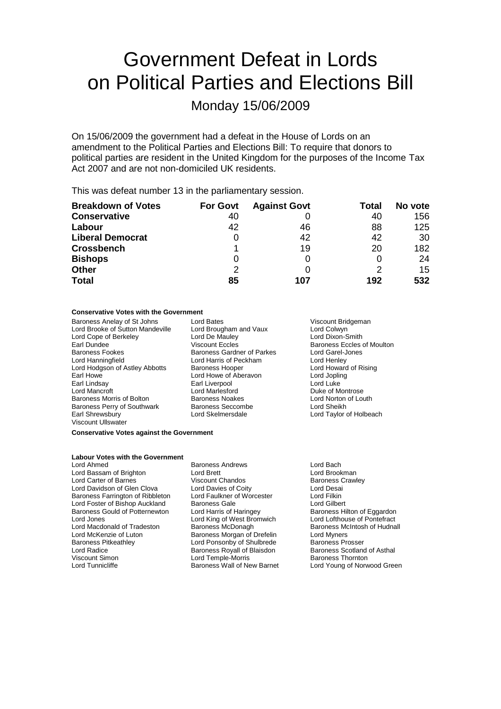## Government Defeat in Lords on Political Parties and Elections Bill

### Monday 15/06/2009

On 15/06/2009 the government had a defeat in the House of Lords on an amendment to the Political Parties and Elections Bill: To require that donors to political parties are resident in the United Kingdom for the purposes of the Income Tax Act 2007 and are not non-domiciled UK residents.

This was defeat number 13 in the parliamentary session.

| <b>Breakdown of Votes</b> | <b>For Govt</b> | <b>Against Govt</b> | Total | No vote |
|---------------------------|-----------------|---------------------|-------|---------|
| <b>Conservative</b>       | 40              |                     | 40    | 156     |
| Labour                    | 42              | 46                  | 88    | 125     |
| <b>Liberal Democrat</b>   |                 | 42                  | 42    | 30      |
| <b>Crossbench</b>         |                 | 19                  | 20    | 182     |
| <b>Bishops</b>            | 0               |                     |       | 24      |
| <b>Other</b>              | 2               | $\Omega$            |       | 15      |
| <b>Total</b>              | 85              | 107                 | 192   | 532     |

#### **Conservative Votes with the Government**

Baroness Anelay of St Johns Lord Bates Lord Bates Viscount Bridgeman<br>Lord Brooke of Sutton Mandeville Lord Brougham and Vaux Lord Colwyn Lord Brooke of Sutton Mandeville Lord Brougham and Vaux Lord Colwyn<br>
Lord Cope of Berkelev Lord De Mauley Lord Dixon-Smith Lord Cope of Berkeley Lord De Mauley<br>
Earl Dundee Contract Viscount Eccles Baroness Fookes Baroness Gardner of Parkes Lord Garel-Jones<br>
Lord Hanningfield Lord Harris of Peckham Lord Henlev Lord Hanningfield Lord Harris of Peckham Lord Hodgson of Astley Abbotts Baroness Hooper Lord Howard of Rising Earl Howe **Earl Lord Howe Container Container** Earl Lord In Lord Jopling<br>
Earl Liverpool **Earl Liverpool** Cord Luke Earl Lindsay Earl Liverpool<br>
Lord Mancroft Liverpool<br>
Lord Mancroft Liverpool Baroness Morris of Bolton Baroness Noakes Lord Norton of Louth Baroness Perry of Southwark Baroness Seccombe Lord Sheikh Earl Shrewsbury Lord Skelmersdale Lord Taylor of Holbeach Viscount Ullswater

Baroness Eccles of Moulton Duke of Montrose

#### **Conservative Votes against the Government**

#### **Labour Votes with the Government**

Lord Ahmed **Baroness Andrews** Eord Bach<br>
Lord Bassam of Brighton **Baroness Andrews** Eord Brookman Lord Bassam of Brighton Lord Brett<br>Lord Carter of Barnes **Lord Brookman** Viscount Chandos Lord Carter of Barnes Viscount Chandos Baroness Crawley Lord Davidson of Glen Clova Lord Davies of Coity Lord Desain<br>Baroness Farrington of Ribbleton Lord Faulkner of Worcester Lord Filkin Baroness Farrington of Ribbleton Lord Faulkner of Worcester **Leading Lord Filkin**<br>
Lord Foster of Bishop Auckland Baroness Gale **Lord Gilbert** Lord Foster of Bishop Auckland Baroness Gale **Lord Gilbert** Lord Gilbert<br>
Baroness Gould of Potternewton Lord Harris of Haringey **Baroness Hilton of Eggardon** Baroness Gould of Potternewton Lord Harris of Haringey **Baroness Hilton of Eggardon**<br>
Lord Lord King of West Bromwich Lord Lord Lorthouse of Pontefract Lord Jones<br>
Lord Macdonald of Tradeston<br>
Baroness McDonagh Lord Macdonald of Tradeston Baroness McDonagh Baroness McIntosh of Hudnall<br>
Lord McKenzie of Luton Baroness Morgan of Drefelin Lord Myners Lord McKenzie of Luton Baroness Morgan of Drefelin<br>Baroness Pitkeathley **Baroness** Lord Ponsonby of Shulbrede Baroness Pitkeathley **Lord Ponsonby of Shulbrede** Baroness Prosser<br>
Lord Radice **Baroness Royall of Blaisdon** Baroness Scotland of Asthal Lord Radice **Baroness Royall of Blaisdon** Baroness Scotland<br>
Viscount Simon **Baroness Thomas Connect Asthala Connect Asthala Connect Asthala Connect Asthala Lord Temple-Morris** Viscount Simon **Lord Temple-Morris**<br>Cord Tunnicliffe **Corporation Corporation** Baroness Wall of New Barnet

Lord Young of Norwood Green